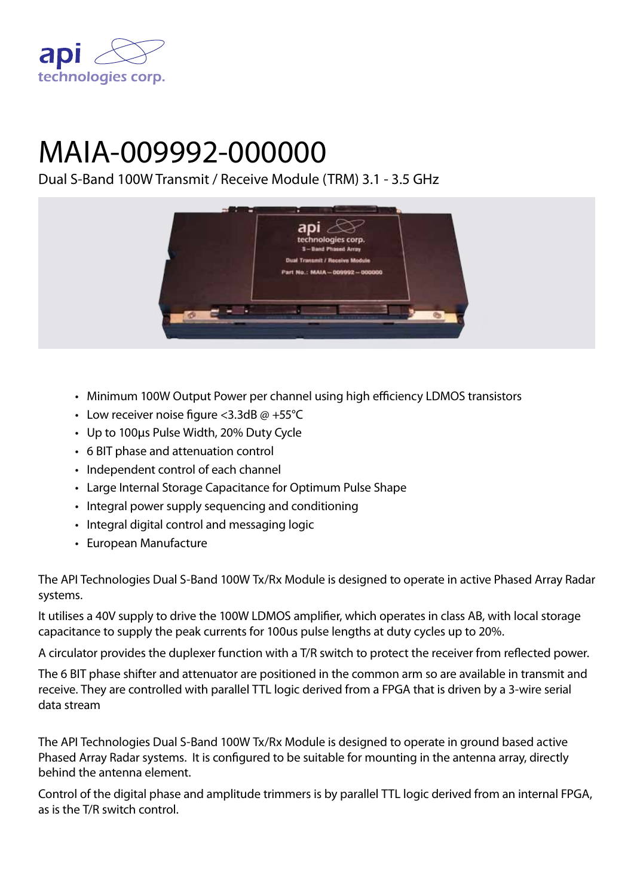

# MAIA-009992-000000

Dual S-Band 100W Transmit / Receive Module (TRM) 3.1 - 3.5 GHz



- Minimum 100W Output Power per channel using high efficiency LDMOS transistors
- Low receiver noise figure < 3.3dB  $@ + 55°C$
- Up to 100μs Pulse Width, 20% Duty Cycle
- • 6 BIT phase and attenuation control
- Independent control of each channel
- Large Internal Storage Capacitance for Optimum Pulse Shape
- Integral power supply sequencing and conditioning
- Integral digital control and messaging logic
- • European Manufacture

The API Technologies Dual S-Band 100W Tx/Rx Module is designed to operate in active Phased Array Radar systems.

It utilises a 40V supply to drive the 100W LDMOS amplifier, which operates in class AB, with local storage capacitance to supply the peak currents for 100us pulse lengths at duty cycles up to 20%.

A circulator provides the duplexer function with a T/R switch to protect the receiver from reflected power.

The 6 BIT phase shifter and attenuator are positioned in the common arm so are available in transmit and receive. They are controlled with parallel TTL logic derived from a FPGA that is driven by a 3-wire serial data stream

The API Technologies Dual S-Band 100W Tx/Rx Module is designed to operate in ground based active Phased Array Radar systems. It is configured to be suitable for mounting in the antenna array, directly behind the antenna element.

Control of the digital phase and amplitude trimmers is by parallel TTL logic derived from an internal FPGA, as is the T/R switch control.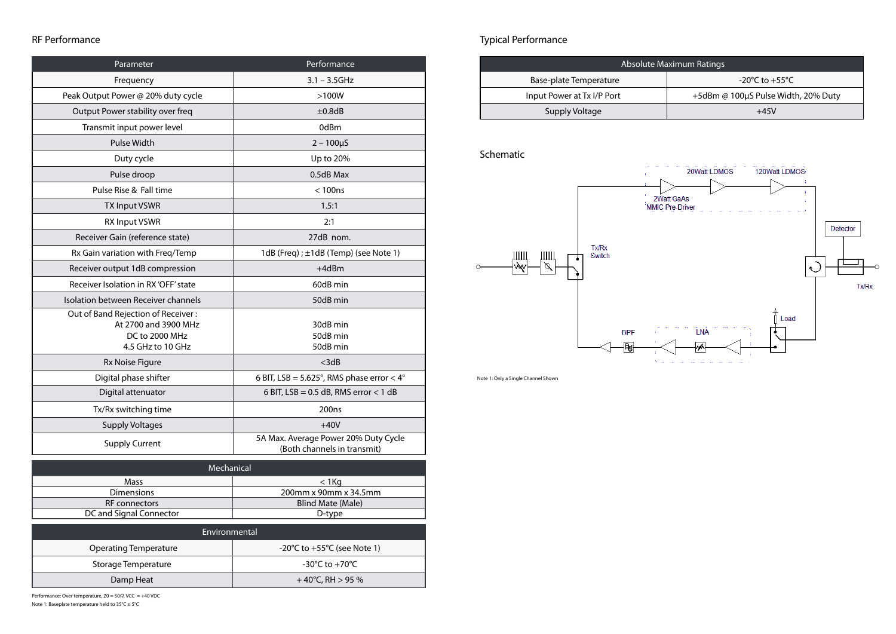| Parameter                                                                                         | Performance                                                         |
|---------------------------------------------------------------------------------------------------|---------------------------------------------------------------------|
| Frequency                                                                                         | $3.1 - 3.5$ GHz                                                     |
| Peak Output Power @ 20% duty cycle                                                                | $>100W$                                                             |
| Output Power stability over freq                                                                  | $\pm 0.8$ dB                                                        |
| Transmit input power level                                                                        | 0dBm                                                                |
| <b>Pulse Width</b>                                                                                | $2 - 100 \mu S$                                                     |
| Duty cycle                                                                                        | Up to 20%                                                           |
| Pulse droop                                                                                       | 0.5dB Max                                                           |
| Pulse Rise & Fall time                                                                            | < 100ns                                                             |
| <b>TX Input VSWR</b>                                                                              | 1.5:1                                                               |
| <b>RX Input VSWR</b>                                                                              | 2:1                                                                 |
| Receiver Gain (reference state)                                                                   | 27dB nom.                                                           |
| Rx Gain variation with Freq/Temp                                                                  | 1dB (Freq) ; $\pm$ 1dB (Temp) (see Note 1)                          |
| Receiver output 1dB compression                                                                   | $+4dBm$                                                             |
| Receiver Isolation in RX 'OFF' state                                                              | 60dB min                                                            |
| Isolation between Receiver channels                                                               | 50dB min                                                            |
| Out of Band Rejection of Receiver:<br>At 2700 and 3900 MHz<br>DC to 2000 MHz<br>4.5 GHz to 10 GHz | 30dB min<br>50dB min<br>50dB min                                    |
| <b>Rx Noise Figure</b>                                                                            | $<$ 3d $B$                                                          |
| Digital phase shifter                                                                             | 6 BIT, LSB = $5.625^{\circ}$ , RMS phase error < $4^{\circ}$        |
| Digital attenuator                                                                                | 6 BIT, $LSB = 0.5 dB$ , RMS error < 1 dB                            |
| Tx/Rx switching time                                                                              | 200 <sub>ns</sub>                                                   |
| <b>Supply Voltages</b>                                                                            | $+40V$                                                              |
| <b>Supply Current</b>                                                                             | 5A Max. Average Power 20% Duty Cycle<br>(Both channels in transmit) |

## RF Performance

| Mechanical              |                       |  |
|-------------------------|-----------------------|--|
| <b>Mass</b>             | < 1Ka                 |  |
| <b>Dimensions</b>       | 200mm x 90mm x 34.5mm |  |
| <b>RF</b> connectors    | Blind Mate (Male)     |  |
| DC and Signal Connector | D-type                |  |

| Environmental                |                                                 |  |
|------------------------------|-------------------------------------------------|--|
| <b>Operating Temperature</b> | $-20^{\circ}$ C to $+55^{\circ}$ C (see Note 1) |  |
| Storage Temperature          | -30°C to +70°C                                  |  |
| Damp Heat                    | $+40^{\circ}$ C, RH $> 95\%$                    |  |



| <b>Absolute Maximum Ratings</b> |                        |
|---------------------------------|------------------------|
| Base-plate Temperature          | $-20^{\circ}$ C to $+$ |
| Input Power at Tx I/P Port      | +5dBm @ 100µS Pulse    |
| Supply Voltage                  |                        |

Typical Performance

Schematic



Note 1: Only a Single Channel Shown

Performance: Over temperature,  $Z0 = 50\Omega$ , VCC = +40 VDC Note 1: Baseplate temperature held to  $35^{\circ}$ C  $\pm$  5 $^{\circ}$ C